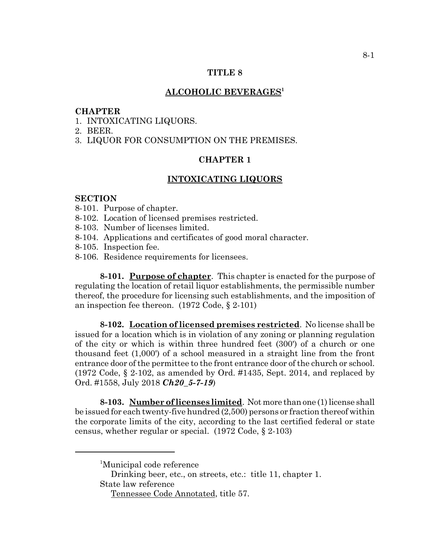# **TITLE 8**

# **ALCOHOLIC BEVERAGES1**

#### **CHAPTER**

- 1. INTOXICATING LIQUORS.
- 2. BEER.
- 3. LIQUOR FOR CONSUMPTION ON THE PREMISES.

# **CHAPTER 1**

### **INTOXICATING LIQUORS**

# **SECTION**

- 8-101. Purpose of chapter.
- 8-102. Location of licensed premises restricted.
- 8-103. Number of licenses limited.
- 8-104. Applications and certificates of good moral character.
- 8-105. Inspection fee.
- 8-106. Residence requirements for licensees.

**8-101. Purpose of chapter**. This chapter is enacted for the purpose of regulating the location of retail liquor establishments, the permissible number thereof, the procedure for licensing such establishments, and the imposition of an inspection fee thereon. (1972 Code, § 2-101)

**8-102. Location of licensed premises restricted**. No license shall be issued for a location which is in violation of any zoning or planning regulation of the city or which is within three hundred feet (300') of a church or one thousand feet (1,000') of a school measured in a straight line from the front entrance door of the permittee to the front entrance door of the church or school. (1972 Code, § 2-102, as amended by Ord. #1435, Sept. 2014, and replaced by Ord. #1558, July 2018 *Ch20\_5-7-19*)

**8-103. Number of licenses limited**. Not more than one (1) license shall be issued for each twenty-five hundred (2,500) persons or fraction thereof within the corporate limits of the city, according to the last certified federal or state census, whether regular or special. (1972 Code, § 2-103)

<sup>&</sup>lt;sup>1</sup>Municipal code reference

Drinking beer, etc., on streets, etc.: title 11, chapter 1. State law reference

Tennessee Code Annotated, title 57.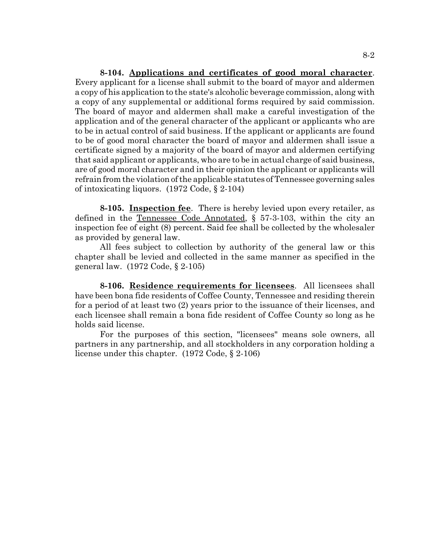**8-104. Applications and certificates of good moral character**. Every applicant for a license shall submit to the board of mayor and aldermen a copy of his application to the state's alcoholic beverage commission, along with a copy of any supplemental or additional forms required by said commission. The board of mayor and aldermen shall make a careful investigation of the application and of the general character of the applicant or applicants who are to be in actual control of said business. If the applicant or applicants are found to be of good moral character the board of mayor and aldermen shall issue a certificate signed by a majority of the board of mayor and aldermen certifying that said applicant or applicants, who are to be in actual charge of said business, are of good moral character and in their opinion the applicant or applicants will refrain from the violation of the applicable statutes of Tennessee governing sales of intoxicating liquors. (1972 Code, § 2-104)

**8-105. Inspection fee**. There is hereby levied upon every retailer, as defined in the Tennessee Code Annotated, § 57-3-103, within the city an inspection fee of eight (8) percent. Said fee shall be collected by the wholesaler as provided by general law.

All fees subject to collection by authority of the general law or this chapter shall be levied and collected in the same manner as specified in the general law. (1972 Code, § 2-105)

**8-106. Residence requirements for licensees**. All licensees shall have been bona fide residents of Coffee County, Tennessee and residing therein for a period of at least two (2) years prior to the issuance of their licenses, and each licensee shall remain a bona fide resident of Coffee County so long as he holds said license.

For the purposes of this section, "licensees" means sole owners, all partners in any partnership, and all stockholders in any corporation holding a license under this chapter. (1972 Code, § 2-106)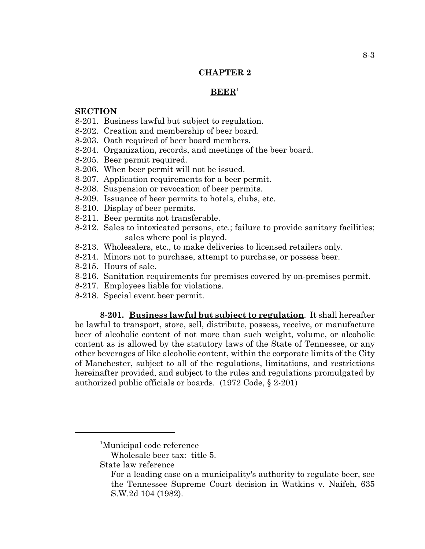# **CHAPTER 2**

### **BEER1**

## **SECTION**

- 8-201. Business lawful but subject to regulation.
- 8-202. Creation and membership of beer board.
- 8-203. Oath required of beer board members.
- 8-204. Organization, records, and meetings of the beer board.
- 8-205. Beer permit required.
- 8-206. When beer permit will not be issued.
- 8-207. Application requirements for a beer permit.
- 8-208. Suspension or revocation of beer permits.
- 8-209. Issuance of beer permits to hotels, clubs, etc.
- 8-210. Display of beer permits.
- 8-211. Beer permits not transferable.
- 8-212. Sales to intoxicated persons, etc.; failure to provide sanitary facilities; sales where pool is played.
- 8-213. Wholesalers, etc., to make deliveries to licensed retailers only.
- 8-214. Minors not to purchase, attempt to purchase, or possess beer.
- 8-215. Hours of sale.
- 8-216. Sanitation requirements for premises covered by on-premises permit.
- 8-217. Employees liable for violations.
- 8-218. Special event beer permit.

**8-201. Business lawful but subject to regulation**. It shall hereafter be lawful to transport, store, sell, distribute, possess, receive, or manufacture beer of alcoholic content of not more than such weight, volume, or alcoholic content as is allowed by the statutory laws of the State of Tennessee, or any other beverages of like alcoholic content, within the corporate limits of the City of Manchester, subject to all of the regulations, limitations, and restrictions hereinafter provided, and subject to the rules and regulations promulgated by authorized public officials or boards. (1972 Code, § 2-201)

State law reference

<sup>&</sup>lt;sup>1</sup>Municipal code reference

Wholesale beer tax: title 5.

For a leading case on a municipality's authority to regulate beer, see the Tennessee Supreme Court decision in Watkins v. Naifeh, 635 S.W.2d 104 (1982).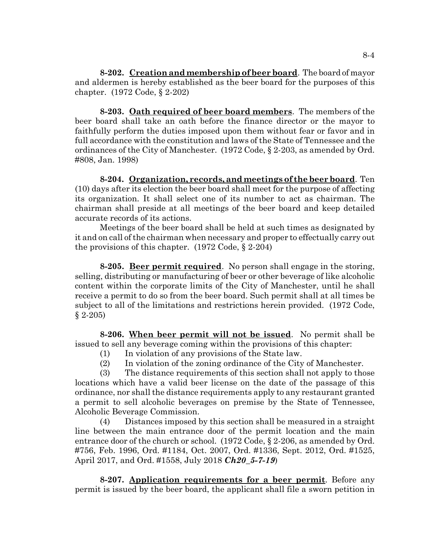**8-202. Creation and membership of beer board**. The board of mayor and aldermen is hereby established as the beer board for the purposes of this chapter. (1972 Code, § 2-202)

**8-203. Oath required of beer board members**. The members of the beer board shall take an oath before the finance director or the mayor to faithfully perform the duties imposed upon them without fear or favor and in full accordance with the constitution and laws of the State of Tennessee and the ordinances of the City of Manchester. (1972 Code, § 2-203, as amended by Ord. #808, Jan. 1998)

**8-204. Organization, records, and meetings of the beer board**. Ten (10) days after its election the beer board shall meet for the purpose of affecting its organization. It shall select one of its number to act as chairman. The chairman shall preside at all meetings of the beer board and keep detailed accurate records of its actions.

Meetings of the beer board shall be held at such times as designated by it and on call of the chairman when necessary and proper to effectually carry out the provisions of this chapter. (1972 Code, § 2-204)

**8-205. Beer permit required**. No person shall engage in the storing, selling, distributing or manufacturing of beer or other beverage of like alcoholic content within the corporate limits of the City of Manchester, until he shall receive a permit to do so from the beer board. Such permit shall at all times be subject to all of the limitations and restrictions herein provided. (1972 Code,  $§ 2-205)$ 

**8-206. When beer permit will not be issued**. No permit shall be issued to sell any beverage coming within the provisions of this chapter:

- (1) In violation of any provisions of the State law.
- (2) In violation of the zoning ordinance of the City of Manchester.

(3) The distance requirements of this section shall not apply to those locations which have a valid beer license on the date of the passage of this ordinance, nor shall the distance requirements apply to any restaurant granted a permit to sell alcoholic beverages on premise by the State of Tennessee, Alcoholic Beverage Commission.

(4) Distances imposed by this section shall be measured in a straight line between the main entrance door of the permit location and the main entrance door of the church or school. (1972 Code, § 2-206, as amended by Ord. #756, Feb. 1996, Ord. #1184, Oct. 2007, Ord. #1336, Sept. 2012, Ord. #1525, April 2017, and Ord. #1558, July 2018 *Ch20\_5-7-19*)

**8-207. Application requirements for a beer permit**. Before any permit is issued by the beer board, the applicant shall file a sworn petition in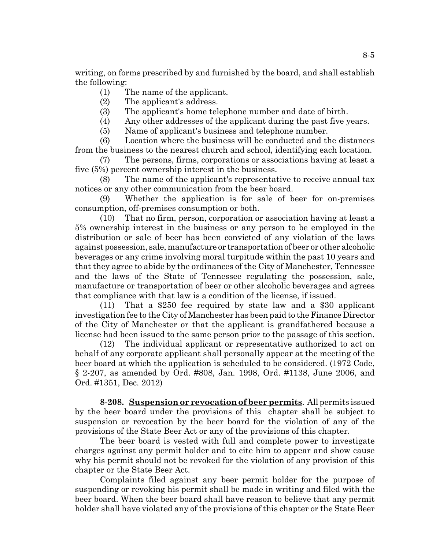writing, on forms prescribed by and furnished by the board, and shall establish the following:

- (1) The name of the applicant.
- (2) The applicant's address.
- (3) The applicant's home telephone number and date of birth.
- (4) Any other addresses of the applicant during the past five years.
- (5) Name of applicant's business and telephone number.

(6) Location where the business will be conducted and the distances from the business to the nearest church and school, identifying each location.

(7) The persons, firms, corporations or associations having at least a five (5%) percent ownership interest in the business.

(8) The name of the applicant's representative to receive annual tax notices or any other communication from the beer board.

(9) Whether the application is for sale of beer for on-premises consumption, off-premises consumption or both.

(10) That no firm, person, corporation or association having at least a 5% ownership interest in the business or any person to be employed in the distribution or sale of beer has been convicted of any violation of the laws against possession, sale, manufacture or transportation of beer or other alcoholic beverages or any crime involving moral turpitude within the past 10 years and that they agree to abide by the ordinances of the City of Manchester, Tennessee and the laws of the State of Tennessee regulating the possession, sale, manufacture or transportation of beer or other alcoholic beverages and agrees that compliance with that law is a condition of the license, if issued.

(11) That a \$250 fee required by state law and a \$30 applicant investigation fee to the City of Manchester has been paid to the Finance Director of the City of Manchester or that the applicant is grandfathered because a license had been issued to the same person prior to the passage of this section.

(12) The individual applicant or representative authorized to act on behalf of any corporate applicant shall personally appear at the meeting of the beer board at which the application is scheduled to be considered. (1972 Code, § 2-207, as amended by Ord. #808, Jan. 1998, Ord. #1138, June 2006, and Ord. #1351, Dec. 2012)

**8-208. Suspension or revocation of beer permits**. All permits issued by the beer board under the provisions of this chapter shall be subject to suspension or revocation by the beer board for the violation of any of the provisions of the State Beer Act or any of the provisions of this chapter.

The beer board is vested with full and complete power to investigate charges against any permit holder and to cite him to appear and show cause why his permit should not be revoked for the violation of any provision of this chapter or the State Beer Act.

Complaints filed against any beer permit holder for the purpose of suspending or revoking his permit shall be made in writing and filed with the beer board. When the beer board shall have reason to believe that any permit holder shall have violated any of the provisions of this chapter or the State Beer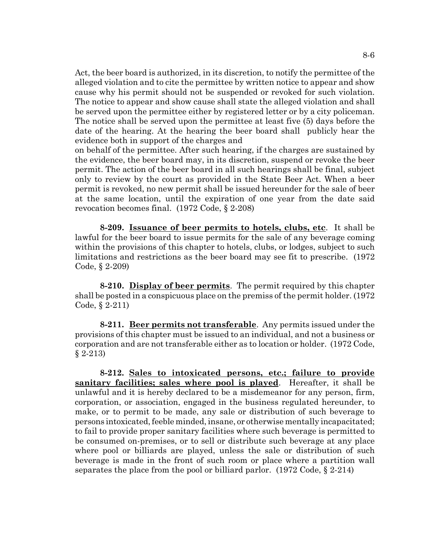Act, the beer board is authorized, in its discretion, to notify the permittee of the alleged violation and to cite the permittee by written notice to appear and show cause why his permit should not be suspended or revoked for such violation. The notice to appear and show cause shall state the alleged violation and shall be served upon the permittee either by registered letter or by a city policeman. The notice shall be served upon the permittee at least five (5) days before the date of the hearing. At the hearing the beer board shall publicly hear the evidence both in support of the charges and

on behalf of the permittee. After such hearing, if the charges are sustained by the evidence, the beer board may, in its discretion, suspend or revoke the beer permit. The action of the beer board in all such hearings shall be final, subject only to review by the court as provided in the State Beer Act. When a beer permit is revoked, no new permit shall be issued hereunder for the sale of beer at the same location, until the expiration of one year from the date said revocation becomes final. (1972 Code, § 2-208)

**8-209. Issuance of beer permits to hotels, clubs, etc**. It shall be lawful for the beer board to issue permits for the sale of any beverage coming within the provisions of this chapter to hotels, clubs, or lodges, subject to such limitations and restrictions as the beer board may see fit to prescribe. (1972 Code, § 2-209)

**8-210. Display of beer permits**. The permit required by this chapter shall be posted in a conspicuous place on the premiss of the permit holder. (1972 Code, § 2-211)

**8-211. Beer permits not transferable**. Any permits issued under the provisions of this chapter must be issued to an individual, and not a business or corporation and are not transferable either as to location or holder. (1972 Code, § 2-213)

**8-212. Sales to intoxicated persons, etc.; failure to provide sanitary facilities; sales where pool is played**. Hereafter, it shall be unlawful and it is hereby declared to be a misdemeanor for any person, firm, corporation, or association, engaged in the business regulated hereunder, to make, or to permit to be made, any sale or distribution of such beverage to persons intoxicated, feeble minded, insane, or otherwise mentally incapacitated; to fail to provide proper sanitary facilities where such beverage is permitted to be consumed on-premises, or to sell or distribute such beverage at any place where pool or billiards are played, unless the sale or distribution of such beverage is made in the front of such room or place where a partition wall separates the place from the pool or billiard parlor. (1972 Code, § 2-214)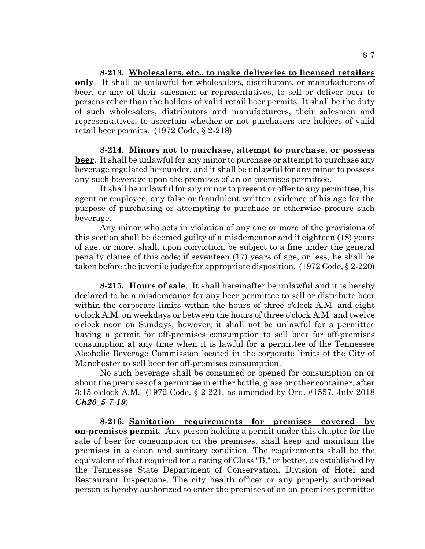**8-213. Wholesalers, etc., to make deliveries to licensed retailers only**. It shall be unlawful for wholesalers, distributors, or manufacturers of beer, or any of their salesmen or representatives, to sell or deliver beer to persons other than the holders of valid retail beer permits. It shall be the duty of such wholesalers, distributors and manufacturers, their salesmen and representatives, to ascertain whether or not purchasers are holders of valid retail beer permits. (1972 Code, § 2-218)

**8-214. Minors not to purchase, attempt to purchase, or possess beer**. It shall be unlawful for any minor to purchase or attempt to purchase any beverage regulated hereunder, and it shall be unlawful for any minor to possess any such beverage upon the premises of an on-premises permittee.

It shall be unlawful for any minor to present or offer to any permittee, his agent or employee, any false or fraudulent written evidence of his age for the purpose of purchasing or attempting to purchase or otherwise procure such beverage.

Any minor who acts in violation of any one or more of the provisions of this section shall be deemed guilty of a misdemeanor and if eighteen (18) years of age, or more, shall, upon conviction, be subject to a fine under the general penalty clause of this code; if seventeen (17) years of age, or less, he shall be taken before the juvenile judge for appropriate disposition. (1972 Code, § 2-220)

**8-215. Hours of sale**. It shall hereinafter be unlawful and it is hereby declared to be a misdemeanor for any beer permittee to sell or distribute beer within the corporate limits within the hours of three o'clock A.M. and eight o'clock A.M. on weekdays or between the hours of three o'clock A.M. and twelve o'clock noon on Sundays, however, it shall not be unlawful for a permittee having a permit for off-premises consumption to sell beer for off-premises consumption at any time when it is lawful for a permittee of the Tennessee Alcoholic Beverage Commission located in the corporate limits of the City of Manchester to sell beer for off-premises consumption.

No such beverage shall be consumed or opened for consumption on or about the premises of a permittee in either bottle, glass or other container, after 3:15 o'clock A.M. (1972 Code, § 2-221, as amended by Ord. #1557, July 2018 *Ch20\_5-7-19*)

**8-216. Sanitation requirements for premises covered by on-premises permit**. Any person holding a permit under this chapter for the sale of beer for consumption on the premises, shall keep and maintain the premises in a clean and sanitary condition. The requirements shall be the equivalent of that required for a rating of Class "B," or better, as established by the Tennessee State Department of Conservation, Division of Hotel and Restaurant Inspections. The city health officer or any properly authorized person is hereby authorized to enter the premises of an on-premises permittee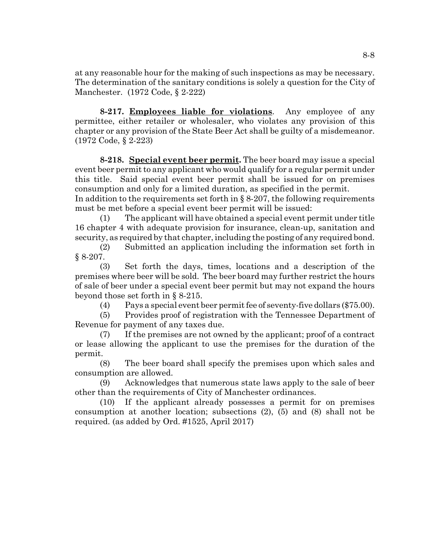at any reasonable hour for the making of such inspections as may be necessary. The determination of the sanitary conditions is solely a question for the City of Manchester. (1972 Code, § 2-222)

**8-217. Employees liable for violations**. Any employee of any permittee, either retailer or wholesaler, who violates any provision of this chapter or any provision of the State Beer Act shall be guilty of a misdemeanor. (1972 Code, § 2-223)

**8-218. Special event beer permit.** The beer board may issue a special event beer permit to any applicant who would qualify for a regular permit under this title. Said special event beer permit shall be issued for on premises consumption and only for a limited duration, as specified in the permit. In addition to the requirements set forth in  $\S 8-207$ , the following requirements

must be met before a special event beer permit will be issued:

(1) The applicant will have obtained a special event permit under title 16 chapter 4 with adequate provision for insurance, clean-up, sanitation and security, as required by that chapter, including the posting of any required bond.

(2) Submitted an application including the information set forth in § 8-207.

(3) Set forth the days, times, locations and a description of the premises where beer will be sold. The beer board may further restrict the hours of sale of beer under a special event beer permit but may not expand the hours beyond those set forth in § 8-215.

(4) Pays a special event beer permit fee of seventy-five dollars (\$75.00).

(5) Provides proof of registration with the Tennessee Department of Revenue for payment of any taxes due.

(7) If the premises are not owned by the applicant; proof of a contract or lease allowing the applicant to use the premises for the duration of the permit.

(8) The beer board shall specify the premises upon which sales and consumption are allowed.

(9) Acknowledges that numerous state laws apply to the sale of beer other than the requirements of City of Manchester ordinances.

(10) If the applicant already possesses a permit for on premises consumption at another location; subsections (2), (5) and (8) shall not be required. (as added by Ord. #1525, April 2017)